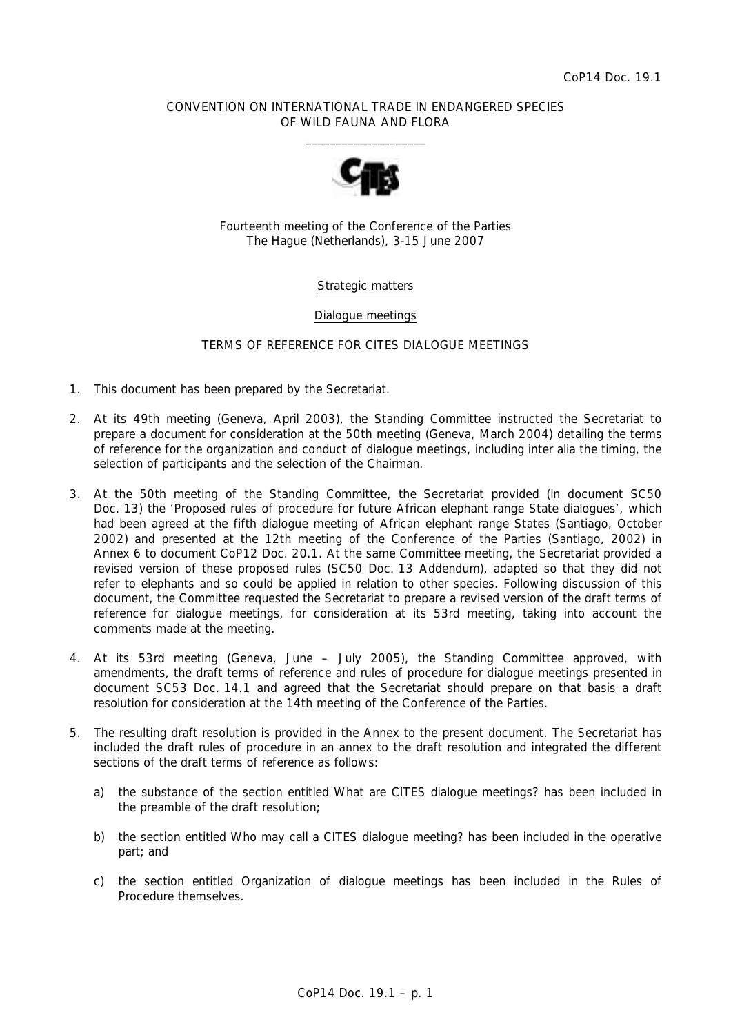## CONVENTION ON INTERNATIONAL TRADE IN ENDANGERED SPECIES OF WILD FAUNA AND FLORA  $\overline{\phantom{a}}$  , and the set of the set of the set of the set of the set of the set of the set of the set of the set of the set of the set of the set of the set of the set of the set of the set of the set of the set of the s



Fourteenth meeting of the Conference of the Parties The Hague (Netherlands), 3-15 June 2007

# Strategic matters

### Dialogue meetings

## TERMS OF REFERENCE FOR CITES DIALOGUE MEETINGS

- 1. This document has been prepared by the Secretariat.
- 2. At its 49th meeting (Geneva, April 2003), the Standing Committee instructed the Secretariat to prepare a document for consideration at the 50th meeting (Geneva, March 2004) detailing the terms of reference for the organization and conduct of dialogue meetings, including *inter alia* the timing, the selection of participants and the selection of the Chairman.
- 3. At the 50th meeting of the Standing Committee, the Secretariat provided (in document SC50 Doc. 13) the 'Proposed rules of procedure for future African elephant range State dialogues', which had been agreed at the fifth dialogue meeting of African elephant range States (Santiago, October 2002) and presented at the 12th meeting of the Conference of the Parties (Santiago, 2002) in Annex 6 to document CoP12 Doc. 20.1. At the same Committee meeting, the Secretariat provided a revised version of these proposed rules (SC50 Doc. 13 Addendum), adapted so that they did not refer to elephants and so could be applied in relation to other species. Following discussion of this document, the Committee requested the Secretariat to prepare a revised version of the draft terms of reference for dialogue meetings, for consideration at its 53rd meeting, taking into account the comments made at the meeting.
- 4. At its 53rd meeting (Geneva, June July 2005), the Standing Committee approved, with amendments, the draft terms of reference and rules of procedure for dialogue meetings presented in document SC53 Doc. 14.1 and agreed that the Secretariat should prepare on that basis a draft resolution for consideration at the 14th meeting of the Conference of the Parties.
- 5. The resulting draft resolution is provided in the Annex to the present document. The Secretariat has included the draft rules of procedure in an annex to the draft resolution and integrated the different sections of the draft terms of reference as follows:
	- a) the substance of the section entitled *What are CITES dialogue meetings?* has been included in the preamble of the draft resolution;
	- b) the section entitled *Who may call a CITES dialogue meeting?* has been included in the operative part; and
	- c) the section entitled *Organization of dialogue meetings* has been included in the Rules of Procedure themselves.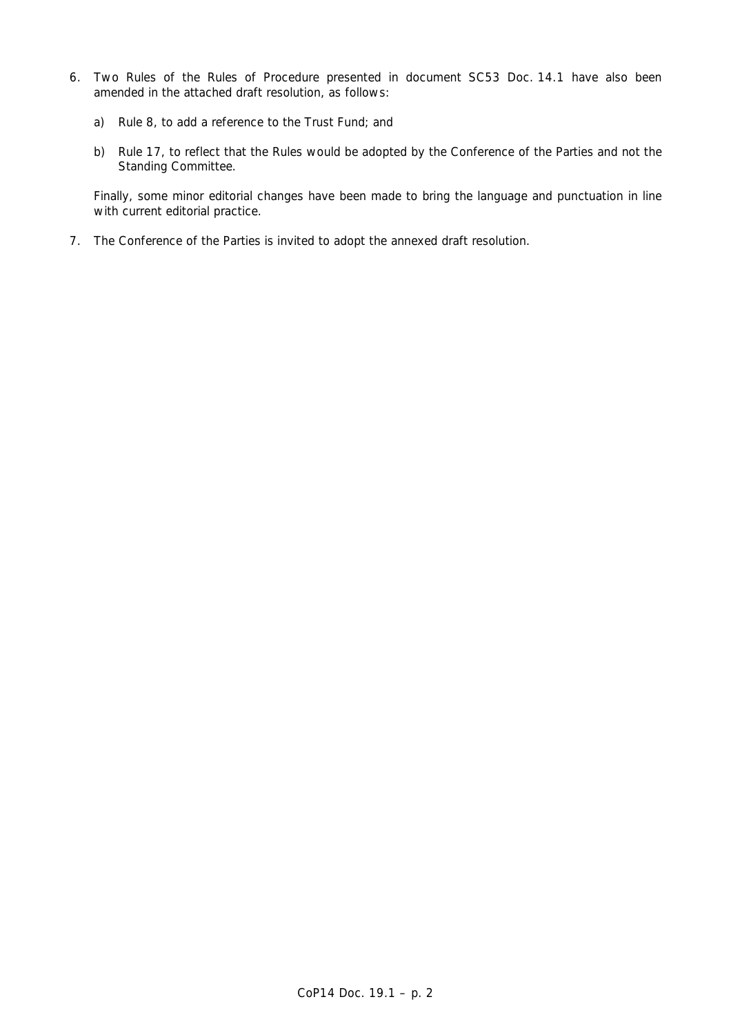- 6. Two Rules of the Rules of Procedure presented in document SC53 Doc. 14.1 have also been amended in the attached draft resolution, as follows:
	- a) Rule 8, to add a reference to the Trust Fund; and
	- b) Rule 17, to reflect that the Rules would be adopted by the Conference of the Parties and not the Standing Committee.

 Finally, some minor editorial changes have been made to bring the language and punctuation in line with current editorial practice.

7. The Conference of the Parties is invited to adopt the annexed draft resolution.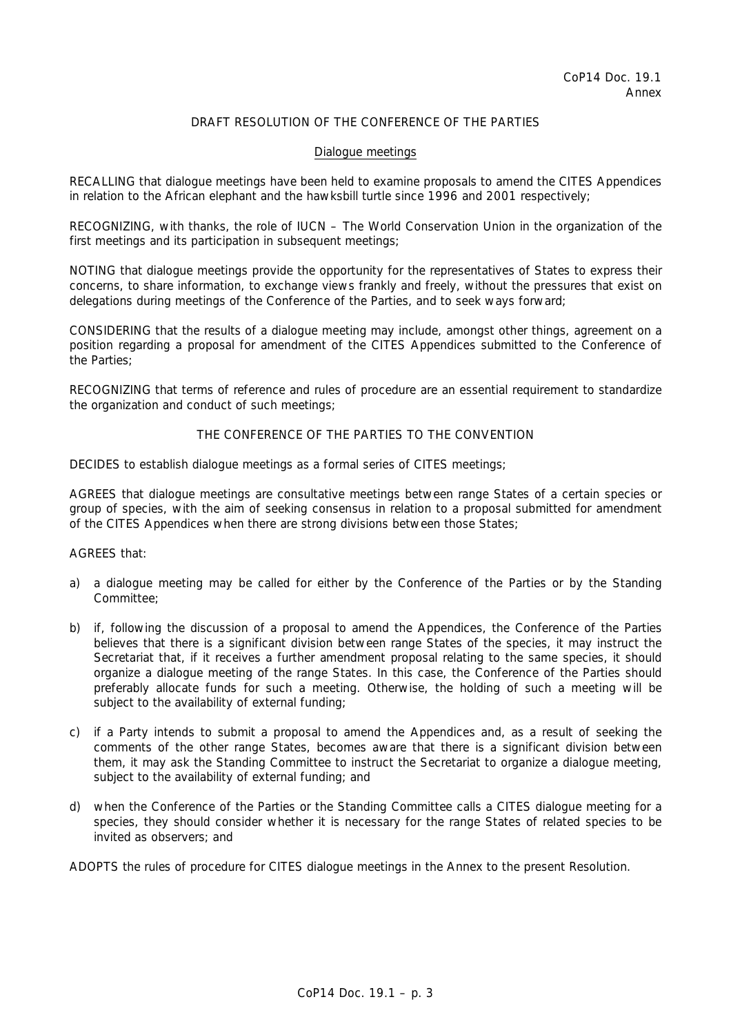# DRAFT RESOLUTION OF THE CONFERENCE OF THE PARTIES

#### Dialogue meetings

RECALLING that dialogue meetings have been held to examine proposals to amend the CITES Appendices in relation to the African elephant and the hawksbill turtle since 1996 and 2001 respectively;

RECOGNIZING, with thanks, the role of IUCN – The World Conservation Union in the organization of the first meetings and its participation in subsequent meetings;

NOTING that dialogue meetings provide the opportunity for the representatives of States to express their concerns, to share information, to exchange views frankly and freely, without the pressures that exist on delegations during meetings of the Conference of the Parties, and to seek ways forward;

CONSIDERING that the results of a dialogue meeting may include, amongst other things, agreement on a position regarding a proposal for amendment of the CITES Appendices submitted to the Conference of the Parties;

RECOGNIZING that terms of reference and rules of procedure are an essential requirement to standardize the organization and conduct of such meetings;

## THE CONFERENCE OF THE PARTIES TO THE CONVENTION

DECIDES to establish dialogue meetings as a formal series of CITES meetings;

AGREES that dialogue meetings are consultative meetings between range States of a certain species or group of species, with the aim of seeking consensus in relation to a proposal submitted for amendment of the CITES Appendices when there are strong divisions between those States;

## AGREES that:

- a) a dialogue meeting may be called for either by the Conference of the Parties or by the Standing Committee;
- b) if, following the discussion of a proposal to amend the Appendices, the Conference of the Parties believes that there is a significant division between range States of the species, it may instruct the Secretariat that, if it receives a further amendment proposal relating to the same species, it should organize a dialogue meeting of the range States. In this case, the Conference of the Parties should preferably allocate funds for such a meeting. Otherwise, the holding of such a meeting will be subject to the availability of external funding;
- c) if a Party intends to submit a proposal to amend the Appendices and, as a result of seeking the comments of the other range States, becomes aware that there is a significant division between them, it may ask the Standing Committee to instruct the Secretariat to organize a dialogue meeting, subject to the availability of external funding; and
- d) when the Conference of the Parties or the Standing Committee calls a CITES dialogue meeting for a species, they should consider whether it is necessary for the range States of related species to be invited as observers; and

ADOPTS the rules of procedure for CITES dialogue meetings in the Annex to the present Resolution.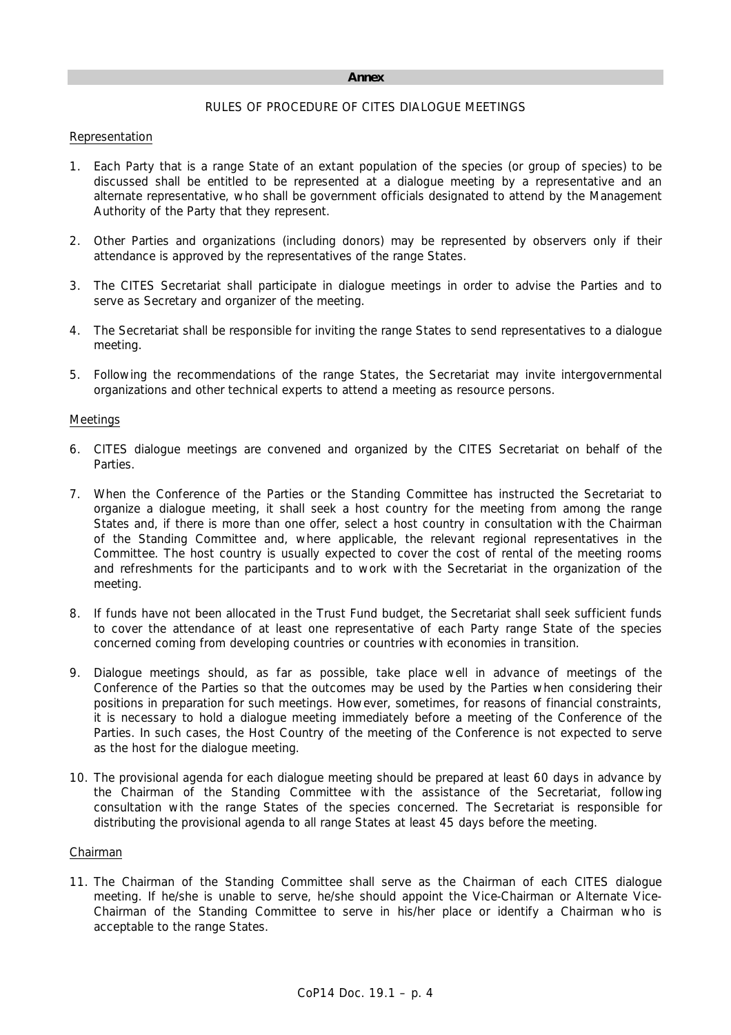#### **Annex**

# RULES OF PROCEDURE OF CITES DIALOGUE MEETINGS

## Representation

- 1. Each Party that is a range State of an extant population of the species (or group of species) to be discussed shall be entitled to be represented at a dialogue meeting by a representative and an alternate representative, who shall be government officials designated to attend by the Management Authority of the Party that they represent.
- 2. Other Parties and organizations (including donors) may be represented by observers only if their attendance is approved by the representatives of the range States.
- 3. The CITES Secretariat shall participate in dialogue meetings in order to advise the Parties and to serve as Secretary and organizer of the meeting.
- 4. The Secretariat shall be responsible for inviting the range States to send representatives to a dialogue meeting.
- 5. Following the recommendations of the range States, the Secretariat may invite intergovernmental organizations and other technical experts to attend a meeting as resource persons.

## Meetings

- 6. CITES dialogue meetings are convened and organized by the CITES Secretariat on behalf of the Parties.
- 7. When the Conference of the Parties or the Standing Committee has instructed the Secretariat to organize a dialogue meeting, it shall seek a host country for the meeting from among the range States and, if there is more than one offer, select a host country in consultation with the Chairman of the Standing Committee and, where applicable, the relevant regional representatives in the Committee. The host country is usually expected to cover the cost of rental of the meeting rooms and refreshments for the participants and to work with the Secretariat in the organization of the meeting.
- 8. If funds have not been allocated in the Trust Fund budget, the Secretariat shall seek sufficient funds to cover the attendance of at least one representative of each Party range State of the species concerned coming from developing countries or countries with economies in transition.
- 9. Dialogue meetings should, as far as possible, take place well in advance of meetings of the Conference of the Parties so that the outcomes may be used by the Parties when considering their positions in preparation for such meetings. However, sometimes, for reasons of financial constraints, it is necessary to hold a dialogue meeting immediately before a meeting of the Conference of the Parties. In such cases, the Host Country of the meeting of the Conference is not expected to serve as the host for the dialogue meeting.
- 10. The provisional agenda for each dialogue meeting should be prepared at least 60 days in advance by the Chairman of the Standing Committee with the assistance of the Secretariat, following consultation with the range States of the species concerned. The Secretariat is responsible for distributing the provisional agenda to all range States at least 45 days before the meeting.

### Chairman

11. The Chairman of the Standing Committee shall serve as the Chairman of each CITES dialogue meeting. If he/she is unable to serve, he/she should appoint the Vice-Chairman or Alternate Vice-Chairman of the Standing Committee to serve in his/her place or identify a Chairman who is acceptable to the range States.